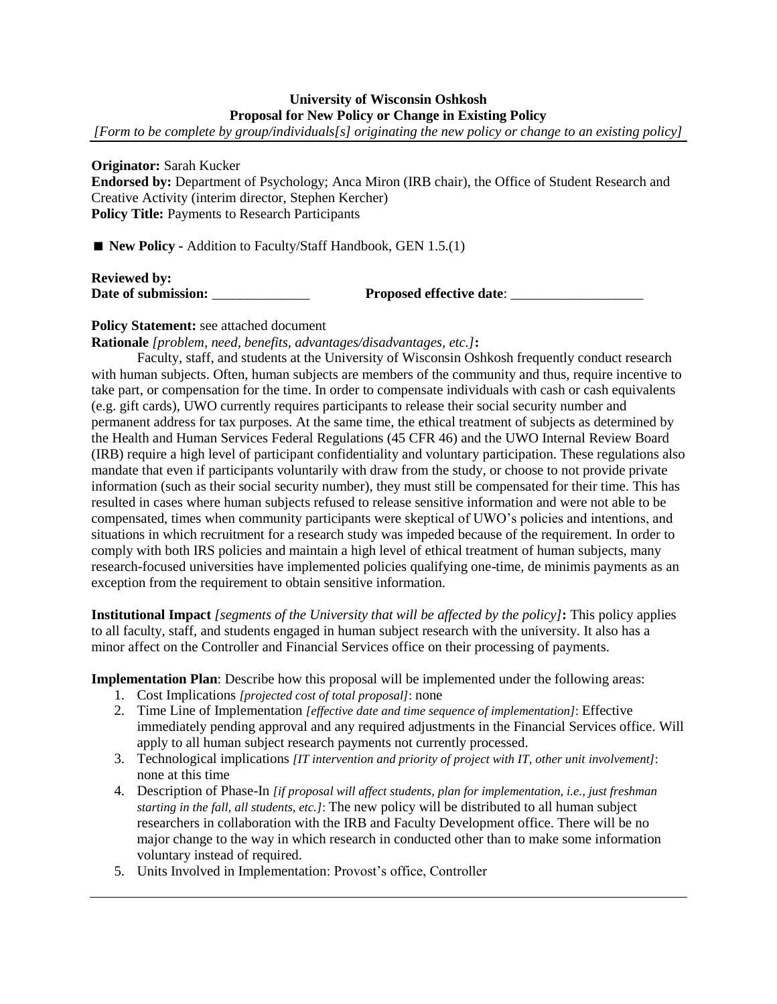## **University of Wisconsin Oshkosh Proposal for New Policy or Change in Existing Policy**

*[Form to be complete by group/individuals[s] originating the new policy or change to an existing policy]*

**Originator:** Sarah Kucker **Endorsed by:** Department of Psychology; Anca Miron (IRB chair), the Office of Student Research and Creative Activity (interim director, Stephen Kercher) **Policy Title:** Payments to Research Participants

■ **New Policy -** Addition to Faculty/Staff Handbook, GEN 1.5.(1)

**Reviewed by: Date of submission:**  $\qquad \qquad$  **Proposed effective date**:

## **Policy Statement:** see attached document

**Rationale** *[problem, need, benefits, advantages/disadvantages, etc.]***:**

Faculty, staff, and students at the University of Wisconsin Oshkosh frequently conduct research with human subjects. Often, human subjects are members of the community and thus, require incentive to take part, or compensation for the time. In order to compensate individuals with cash or cash equivalents (e.g. gift cards), UWO currently requires participants to release their social security number and permanent address for tax purposes. At the same time, the ethical treatment of subjects as determined by the Health and Human Services Federal Regulations (45 CFR 46) and the UWO Internal Review Board (IRB) require a high level of participant confidentiality and voluntary participation. These regulations also mandate that even if participants voluntarily with draw from the study, or choose to not provide private information (such as their social security number), they must still be compensated for their time. This has resulted in cases where human subjects refused to release sensitive information and were not able to be compensated, times when community participants were skeptical of UWO's policies and intentions, and situations in which recruitment for a research study was impeded because of the requirement. In order to comply with both IRS policies and maintain a high level of ethical treatment of human subjects, many research-focused universities have implemented policies qualifying one-time, de minimis payments as an exception from the requirement to obtain sensitive information.

**Institutional Impact** *[segments of the University that will be affected by the policy]***:** This policy applies to all faculty, staff, and students engaged in human subject research with the university. It also has a minor affect on the Controller and Financial Services office on their processing of payments.

**Implementation Plan**: Describe how this proposal will be implemented under the following areas:

- 1. Cost Implications *[projected cost of total proposal]*: none
- 2. Time Line of Implementation *[effective date and time sequence of implementation]*: Effective immediately pending approval and any required adjustments in the Financial Services office. Will apply to all human subject research payments not currently processed.
- 3. Technological implications *[IT intervention and priority of project with IT, other unit involvement]*: none at this time
- 4. Description of Phase-In *[if proposal will affect students, plan for implementation, i.e., just freshman starting in the fall, all students, etc.]*: The new policy will be distributed to all human subject researchers in collaboration with the IRB and Faculty Development office. There will be no major change to the way in which research in conducted other than to make some information voluntary instead of required.
- 5. Units Involved in Implementation: Provost's office, Controller